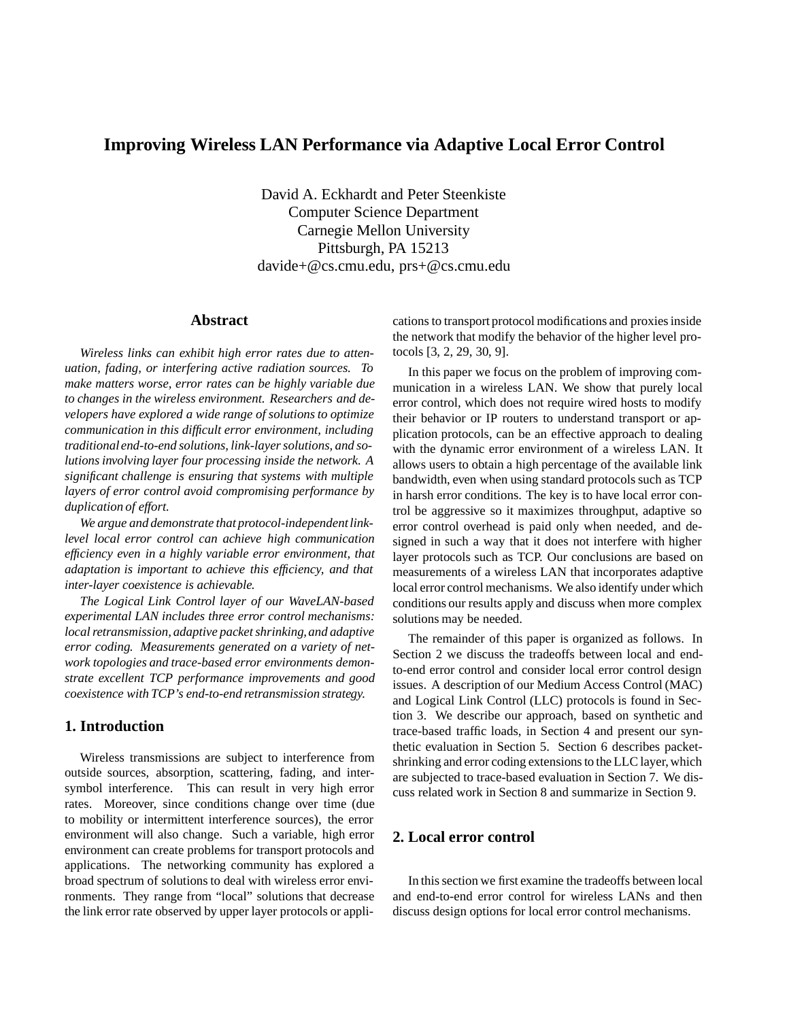# **Improving Wireless LAN Performance via Adaptive Local Error Control**

David A. Eckhardt and Peter Steenkiste Computer Science Department Carnegie Mellon University Pittsburgh, PA 15213 davide+@cs.cmu.edu, prs+@cs.cmu.edu

## **Abstract**

*Wireless links can exhibit high error rates due to attenuation, fading, or interfering active radiation sources. To make matters worse, error rates can be highly variable due to changes in the wireless environment. Researchers and developers have explored a wide range of solutions to optimize communication in this difficult error environment, including traditionalend-to-end solutions, link-layer solutions, and solutions involving layer four processing inside the network. A significant challenge is ensuring that systems with multiple layers of error control avoid compromising performance by duplication of effort.*

We argue and demonstrate that protocol-independent link*level local error control can achieve high communication efficiency even in a highly variable error environment, that adaptation is important to achieve this efficiency, and that inter-layer coexistence is achievable.*

*The Logical Link Control layer of our WaveLAN-based experimental LAN includes three error control mechanisms: local retransmission, adaptive packet shrinking,and adaptive error coding. Measurements generated on a variety of network topologies and trace-based error environments demonstrate excellent TCP performance improvements and good coexistence with TCP's end-to-end retransmission strategy.*

## **1. Introduction**

Wireless transmissions are subject to interference from outside sources, absorption, scattering, fading, and intersymbol interference. This can result in very high error rates. Moreover, since conditions change over time (due to mobility or intermittent interference sources), the error environment will also change. Such a variable, high error environment can create problems for transport protocols and applications. The networking community has explored a broad spectrum of solutions to deal with wireless error environments. They range from "local" solutions that decrease the link error rate observed by upper layer protocols or applications to transport protocol modifications and proxies inside the network that modify the behavior of the higher level protocols [3, 2, 29, 30, 9].

In this paper we focus on the problem of improving communication in a wireless LAN. We show that purely local error control, which does not require wired hosts to modify their behavior or IP routers to understand transport or application protocols, can be an effective approach to dealing with the dynamic error environment of a wireless LAN. It allows users to obtain a high percentage of the available link bandwidth, even when using standard protocols such as TCP in harsh error conditions. The key is to have local error control be aggressive so it maximizes throughput, adaptive so error control overhead is paid only when needed, and designed in such a way that it does not interfere with higher layer protocols such as TCP. Our conclusions are based on measurements of a wireless LAN that incorporates adaptive local error control mechanisms. We also identify under which conditions our results apply and discuss when more complex solutions may be needed.

The remainder of this paper is organized as follows. In Section 2 we discuss the tradeoffs between local and endto-end error control and consider local error control design issues. A description of our Medium Access Control (MAC) and Logical Link Control (LLC) protocols is found in Section 3. We describe our approach, based on synthetic and trace-based traffic loads, in Section 4 and present our synthetic evaluation in Section 5. Section 6 describes packetshrinking and error coding extensions to the LLC layer, which are subjected to trace-based evaluation in Section 7. We discuss related work in Section 8 and summarize in Section 9.

## **2. Local error control**

In this section we first examine the tradeoffs between local and end-to-end error control for wireless LANs and then discuss design options for local error control mechanisms.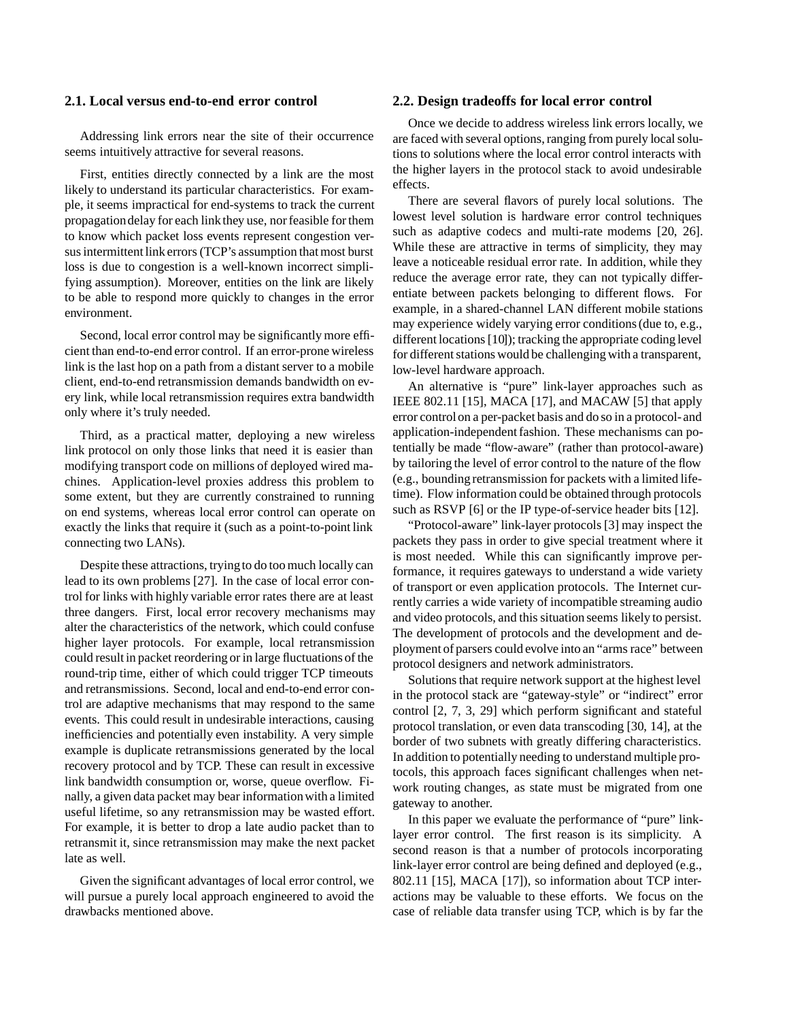### **2.1. Local versus end-to-end error control**

Addressing link errors near the site of their occurrence seems intuitively attractive for several reasons.

First, entities directly connected by a link are the most likely to understand its particular characteristics. For example, it seems impractical for end-systems to track the current propagationdelay for each linkthey use, nor feasible for them to know which packet loss events represent congestion versus intermittent link errors (TCP's assumption that most burst loss is due to congestion is a well-known incorrect simplifying assumption). Moreover, entities on the link are likely to be able to respond more quickly to changes in the error environment.

Second, local error control may be significantly more efficient than end-to-end error control. If an error-prone wireless link is the last hop on a path from a distant server to a mobile client, end-to-end retransmission demands bandwidth on every link, while local retransmission requires extra bandwidth only where it's truly needed.

Third, as a practical matter, deploying a new wireless link protocol on only those links that need it is easier than modifying transport code on millions of deployed wired machines. Application-level proxies address this problem to some extent, but they are currently constrained to running on end systems, whereas local error control can operate on exactly the links that require it (such as a point-to-point link connecting two LANs).

Despite these attractions, tryingto do too much locally can lead to its own problems [27]. In the case of local error control for links with highly variable error rates there are at least three dangers. First, local error recovery mechanisms may alter the characteristics of the network, which could confuse higher layer protocols. For example, local retransmission could result in packet reordering or in large fluctuations of the round-trip time, either of which could trigger TCP timeouts and retransmissions. Second, local and end-to-end error control are adaptive mechanisms that may respond to the same events. This could result in undesirable interactions, causing inefficiencies and potentially even instability. A very simple example is duplicate retransmissions generated by the local recovery protocol and by TCP. These can result in excessive link bandwidth consumption or, worse, queue overflow. Finally, a given data packet may bear informationwith a limited useful lifetime, so any retransmission may be wasted effort. For example, it is better to drop a late audio packet than to retransmit it, since retransmission may make the next packet late as well.

Given the significant advantages of local error control, we will pursue a purely local approach engineered to avoid the drawbacks mentioned above.

#### **2.2. Design tradeoffs for local error control**

Once we decide to address wireless link errors locally, we are faced with several options, ranging from purely local solutions to solutions where the local error control interacts with the higher layers in the protocol stack to avoid undesirable effects.

There are several flavors of purely local solutions. The lowest level solution is hardware error control techniques such as adaptive codecs and multi-rate modems [20, 26]. While these are attractive in terms of simplicity, they may leave a noticeable residual error rate. In addition, while they reduce the average error rate, they can not typically differentiate between packets belonging to different flows. For example, in a shared-channel LAN different mobile stations may experience widely varying error conditions (due to, e.g., different locations [10]); tracking the appropriate coding level for different stations would be challenging with a transparent, low-level hardware approach.

An alternative is "pure" link-layer approaches such as IEEE 802.11 [15], MACA [17], and MACAW [5] that apply error controlon a per-packet basis and do so in a protocol-and application-independent fashion. These mechanisms can potentially be made "flow-aware" (rather than protocol-aware) by tailoring the level of error control to the nature of the flow (e.g., bounding retransmission for packets with a limited lifetime). Flow information could be obtained through protocols such as RSVP [6] or the IP type-of-service header bits [12].

"Protocol-aware" link-layer protocols [3] may inspect the packets they pass in order to give special treatment where it is most needed. While this can significantly improve performance, it requires gateways to understand a wide variety of transport or even application protocols. The Internet currently carries a wide variety of incompatible streaming audio and video protocols, and this situation seems likely to persist. The development of protocols and the development and deployment of parsers could evolve into an "arms race" between protocol designers and network administrators.

Solutions that require network support at the highest level in the protocol stack are "gateway-style" or "indirect" error control [2, 7, 3, 29] which perform significant and stateful protocol translation, or even data transcoding [30, 14], at the border of two subnets with greatly differing characteristics. In addition to potentially needing to understand multiple protocols, this approach faces significant challenges when network routing changes, as state must be migrated from one gateway to another.

In this paper we evaluate the performance of "pure" linklayer error control. The first reason is its simplicity. A second reason is that a number of protocols incorporating link-layer error control are being defined and deployed (e.g., 802.11 [15], MACA [17]), so information about TCP interactions may be valuable to these efforts. We focus on the case of reliable data transfer using TCP, which is by far the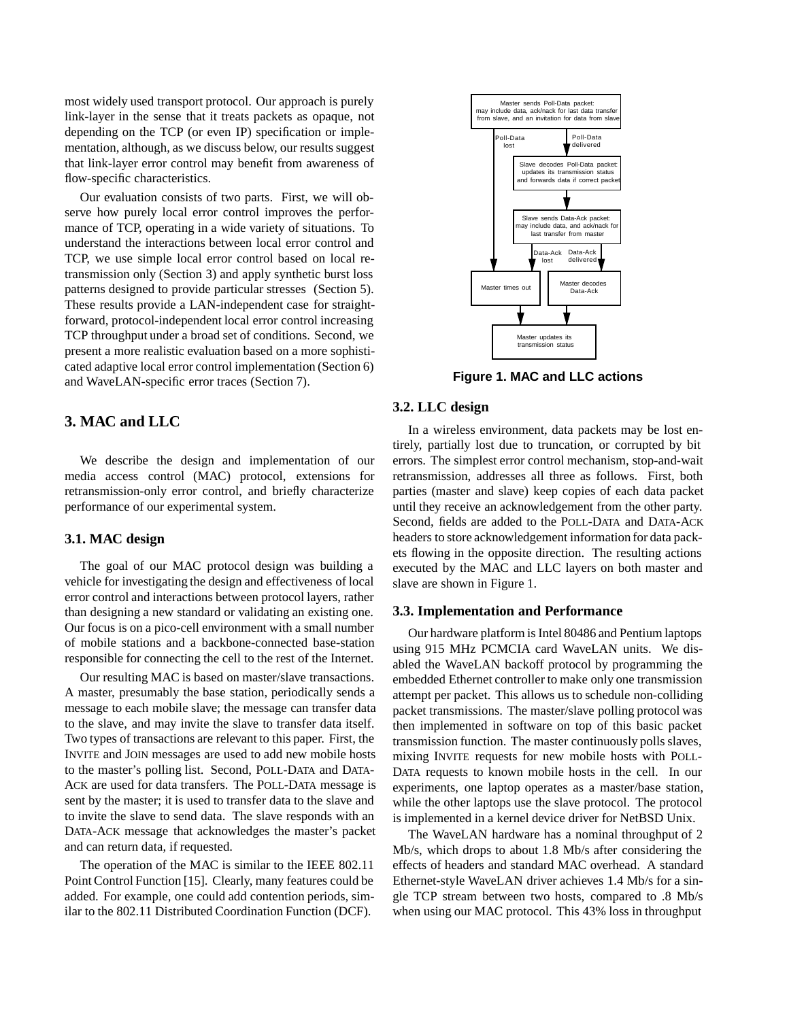most widely used transport protocol. Our approach is purely link-layer in the sense that it treats packets as opaque, not depending on the TCP (or even IP) specification or implementation, although, as we discuss below, our results suggest that link-layer error control may benefit from awareness of flow-specific characteristics.

Our evaluation consists of two parts. First, we will observe how purely local error control improves the performance of TCP, operating in a wide variety of situations. To understand the interactions between local error control and TCP, we use simple local error control based on local retransmission only (Section 3) and apply synthetic burst loss patterns designed to provide particular stresses (Section 5). These results provide a LAN-independent case for straightforward, protocol-independent local error control increasing TCP throughput under a broad set of conditions. Second, we present a more realistic evaluation based on a more sophisticated adaptive local error control implementation (Section 6) and WaveLAN-specific error traces (Section 7).

## **3. MAC and LLC**

We describe the design and implementation of our media access control (MAC) protocol, extensions for retransmission-only error control, and briefly characterize performance of our experimental system.

## **3.1. MAC design**

The goal of our MAC protocol design was building a vehicle for investigating the design and effectiveness of local error control and interactions between protocol layers, rather than designing a new standard or validating an existing one. Our focus is on a pico-cell environment with a small number of mobile stations and a backbone-connected base-station responsible for connecting the cell to the rest of the Internet.

Our resulting MAC is based on master/slave transactions. A master, presumably the base station, periodically sends a message to each mobile slave; the message can transfer data to the slave, and may invite the slave to transfer data itself. Two types of transactions are relevant to this paper. First, the INVITE and JOIN messages are used to add new mobile hosts to the master's polling list. Second, POLL-DATA and DATA-ACK are used for data transfers. The POLL-DATA message is sent by the master; it is used to transfer data to the slave and to invite the slave to send data. The slave responds with an DATA-ACK message that acknowledges the master's packet and can return data, if requested.

The operation of the MAC is similar to the IEEE 802.11 Point Control Function [15]. Clearly, many features could be added. For example, one could add contention periods, similar to the 802.11 Distributed Coordination Function (DCF).



**Figure 1. MAC and LLC actions**

#### **3.2. LLC design**

In a wireless environment, data packets may be lost entirely, partially lost due to truncation, or corrupted by bit errors. The simplest error control mechanism, stop-and-wait retransmission, addresses all three as follows. First, both parties (master and slave) keep copies of each data packet until they receive an acknowledgement from the other party. Second, fields are added to the POLL-DATA and DATA-ACK headers to store acknowledgement information for data packets flowing in the opposite direction. The resulting actions executed by the MAC and LLC layers on both master and slave are shown in Figure 1.

#### **3.3. Implementation and Performance**

Our hardware platform is Intel 80486 and Pentium laptops using 915 MHz PCMCIA card WaveLAN units. We disabled the WaveLAN backoff protocol by programming the embedded Ethernet controller to make only one transmission attempt per packet. This allows us to schedule non-colliding packet transmissions. The master/slave polling protocol was then implemented in software on top of this basic packet transmission function. The master continuously polls slaves, mixing INVITE requests for new mobile hosts with POLL-DATA requests to known mobile hosts in the cell. In our experiments, one laptop operates as a master/base station, while the other laptops use the slave protocol. The protocol is implemented in a kernel device driver for NetBSD Unix.

The WaveLAN hardware has a nominal throughput of 2 Mb/s, which drops to about 1.8 Mb/s after considering the effects of headers and standard MAC overhead. A standard Ethernet-style WaveLAN driver achieves 1.4 Mb/s for a single TCP stream between two hosts, compared to .8 Mb/s when using our MAC protocol. This 43% loss in throughput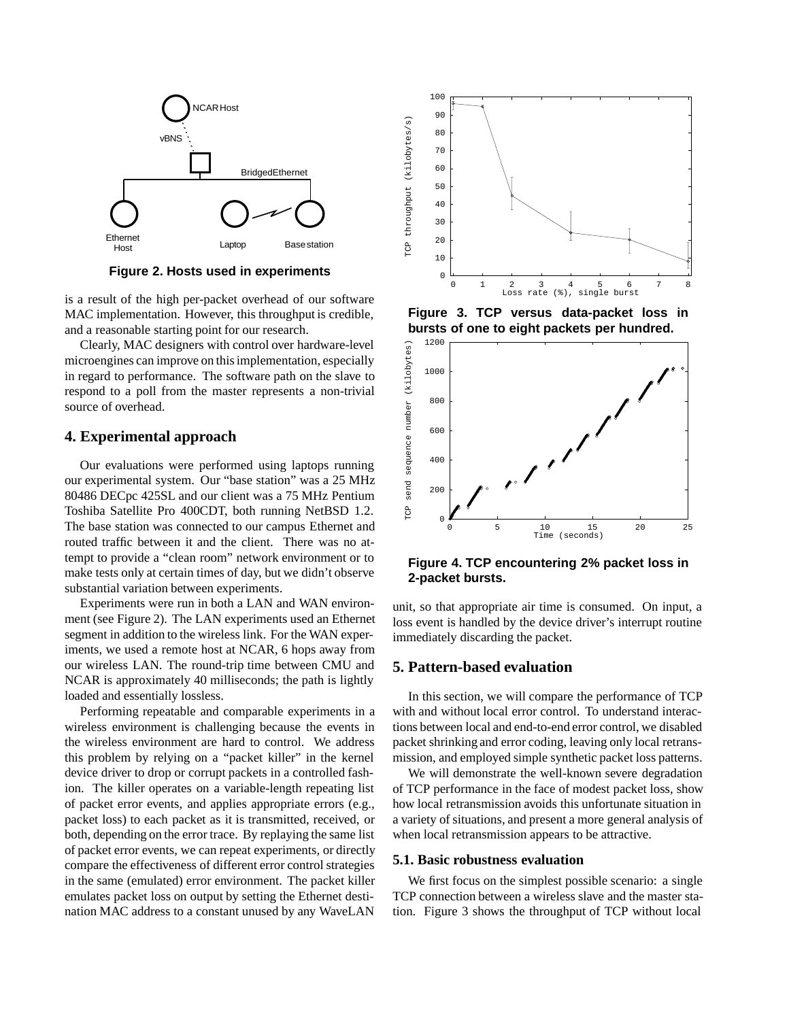

**Figure 2. Hosts used in experiments**

is a result of the high per-packet overhead of our software MAC implementation. However, this throughput is credible, and a reasonable starting point for our research.

Clearly, MAC designers with control over hardware-level microengines can improve on this implementation, especially in regard to performance. The software path on the slave to respond to a poll from the master represents a non-trivial source of overhead.

### **4. Experimental approach**

Our evaluations were performed using laptops running our experimental system. Our "base station" was a 25 MHz 80486 DECpc 425SL and our client was a 75 MHz Pentium Toshiba Satellite Pro 400CDT, both running NetBSD 1.2. The base station was connected to our campus Ethernet and routed traffic between it and the client. There was no attempt to provide a "clean room" network environment or to make tests only at certain times of day, but we didn't observe substantial variation between experiments.

Experiments were run in both a LAN and WAN environment (see Figure 2). The LAN experiments used an Ethernet segment in addition to the wireless link. For the WAN experiments, we used a remote host at NCAR, 6 hops away from our wireless LAN. The round-trip time between CMU and NCAR is approximately 40 milliseconds; the path is lightly loaded and essentially lossless.

Performing repeatable and comparable experiments in a wireless environment is challenging because the events in the wireless environment are hard to control. We address this problem by relying on a "packet killer" in the kernel device driver to drop or corrupt packets in a controlled fashion. The killer operates on a variable-length repeating list of packet error events, and applies appropriate errors (e.g., packet loss) to each packet as it is transmitted, received, or both, depending on the error trace. By replaying the same list of packet error events, we can repeat experiments, or directly compare the effectiveness of different error control strategies in the same (emulated) error environment. The packet killer emulates packet loss on output by setting the Ethernet destination MAC address to a constant unused by any WaveLAN



**Figure 3. TCP versus data-packet loss in bursts of one to eight packets per hundred.**



**Figure 4. TCP encountering 2% packet loss in 2-packet bursts.**

unit, so that appropriate air time is consumed. On input, a loss event is handled by the device driver's interrupt routine immediately discarding the packet.

## **5. Pattern-based evaluation**

In this section, we will compare the performance of TCP with and without local error control. To understand interactions between local and end-to-end error control, we disabled packet shrinking and error coding, leaving only local retransmission, and employed simple synthetic packet loss patterns.

We will demonstrate the well-known severe degradation of TCP performance in the face of modest packet loss, show how local retransmission avoids this unfortunate situation in a variety of situations, and present a more general analysis of when local retransmission appears to be attractive.

### **5.1. Basic robustness evaluation**

We first focus on the simplest possible scenario: a single TCP connection between a wireless slave and the master station. Figure 3 shows the throughput of TCP without local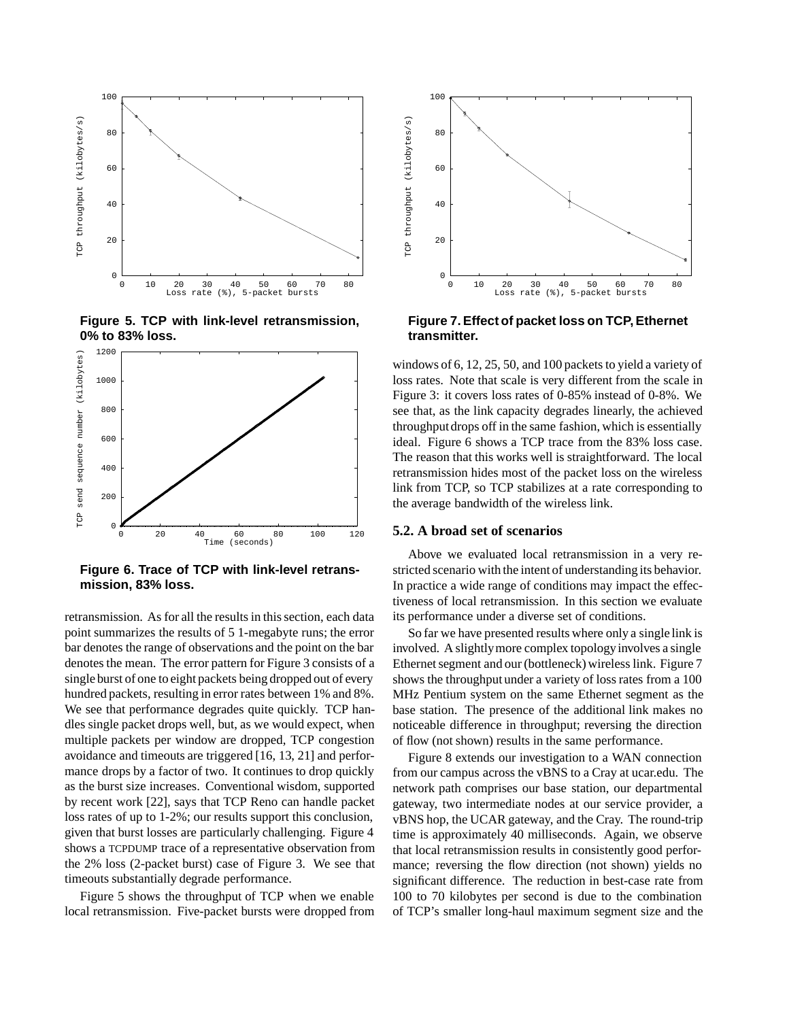

**Figure 5. TCP with link-level retransmission, 0% to 83% loss.**



**Figure 6. Trace of TCP with link-level retransmission, 83% loss.**

retransmission. As for all the results in this section, each data point summarizes the results of 5 1-megabyte runs; the error bar denotes the range of observations and the point on the bar denotes the mean. The error pattern for Figure 3 consists of a single burst of one to eight packets being dropped out of every hundred packets, resulting in error rates between 1% and 8%. We see that performance degrades quite quickly. TCP handles single packet drops well, but, as we would expect, when multiple packets per window are dropped, TCP congestion avoidance and timeouts are triggered [16, 13, 21] and performance drops by a factor of two. It continues to drop quickly as the burst size increases. Conventional wisdom, supported by recent work [22], says that TCP Reno can handle packet loss rates of up to 1-2%; our results support this conclusion, given that burst losses are particularly challenging. Figure 4 shows a TCPDUMP trace of a representative observation from the 2% loss (2-packet burst) case of Figure 3. We see that timeouts substantially degrade performance.

Figure 5 shows the throughput of TCP when we enable local retransmission. Five-packet bursts were dropped from



**Figure 7. Effect of packet loss on TCP, Ethernet transmitter.**

windows of 6, 12, 25, 50, and 100 packets to yield a variety of loss rates. Note that scale is very different from the scale in Figure 3: it covers loss rates of 0-85% instead of 0-8%. We see that, as the link capacity degrades linearly, the achieved throughputdrops off in the same fashion, which is essentially ideal. Figure 6 shows a TCP trace from the 83% loss case. The reason that this works well is straightforward. The local retransmission hides most of the packet loss on the wireless link from TCP, so TCP stabilizes at a rate corresponding to the average bandwidth of the wireless link.

## **5.2. A broad set of scenarios**

Above we evaluated local retransmission in a very restricted scenario with the intent of understanding its behavior. In practice a wide range of conditions may impact the effectiveness of local retransmission. In this section we evaluate its performance under a diverse set of conditions.

So far we have presented results where only a single link is involved. A slightly more complex topology involves a single Ethernet segment and our (bottleneck) wireless link. Figure 7 shows the throughput under a variety of loss rates from a 100 MHz Pentium system on the same Ethernet segment as the base station. The presence of the additional link makes no noticeable difference in throughput; reversing the direction of flow (not shown) results in the same performance.

Figure 8 extends our investigation to a WAN connection from our campus across the vBNS to a Cray at ucar.edu. The network path comprises our base station, our departmental gateway, two intermediate nodes at our service provider, a vBNS hop, the UCAR gateway, and the Cray. The round-trip time is approximately 40 milliseconds. Again, we observe that local retransmission results in consistently good performance; reversing the flow direction (not shown) yields no significant difference. The reduction in best-case rate from 100 to 70 kilobytes per second is due to the combination of TCP's smaller long-haul maximum segment size and the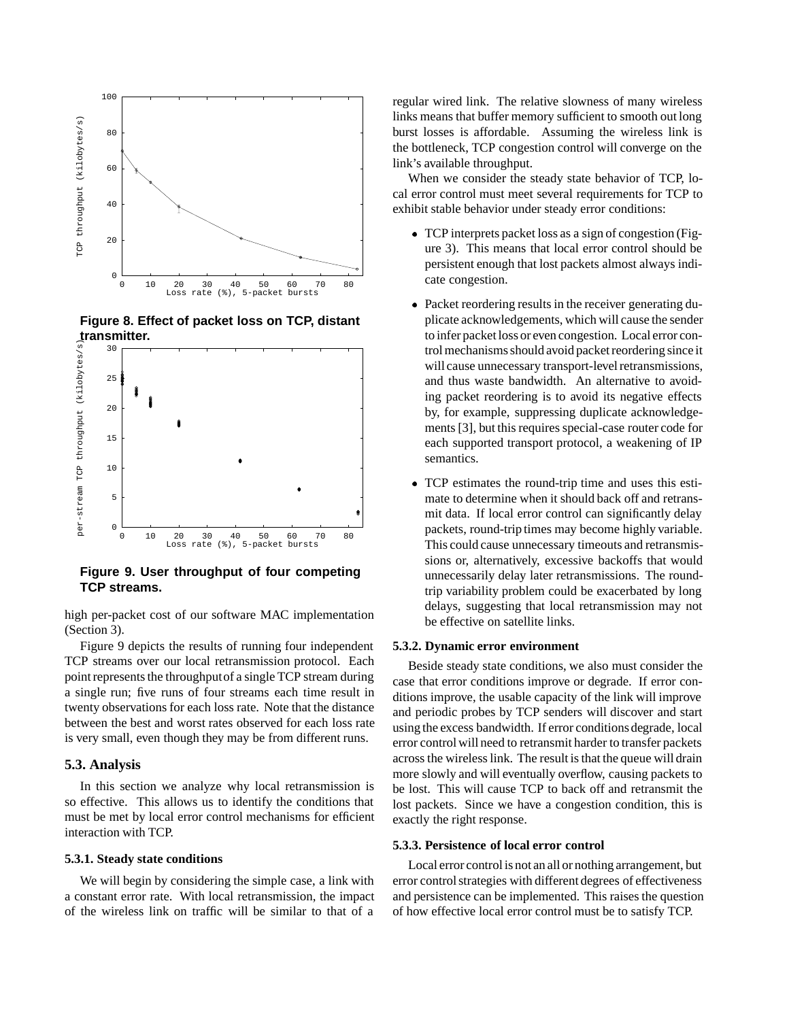

**Figure 8. Effect of packet loss on TCP, distant transmitter.**



**Figure 9. User throughput of four competing TCP streams.**

high per-packet cost of our software MAC implementation (Section 3).

Figure 9 depicts the results of running four independent TCP streams over our local retransmission protocol. Each point represents the throughputof a single TCP stream during a single run; five runs of four streams each time result in twenty observations for each loss rate. Note that the distance between the best and worst rates observed for each loss rate is very small, even though they may be from different runs.

### **5.3. Analysis**

In this section we analyze why local retransmission is so effective. This allows us to identify the conditions that must be met by local error control mechanisms for efficient interaction with TCP.

#### **5.3.1. Steady state conditions**

We will begin by considering the simple case, a link with a constant error rate. With local retransmission, the impact of the wireless link on traffic will be similar to that of a

regular wired link. The relative slowness of many wireless links means that buffer memory sufficient to smooth out long burst losses is affordable. Assuming the wireless link is the bottleneck, TCP congestion control will converge on the link's available throughput.

When we consider the steady state behavior of TCP, local error control must meet several requirements for TCP to exhibit stable behavior under steady error conditions:

- TCP interprets packet loss as a sign of congestion (Figure 3). This means that local error control should be persistent enough that lost packets almost always indicate congestion.
- Packet reordering results in the receiver generating duplicate acknowledgements, which will cause the sender to infer packet loss or even congestion. Local error control mechanisms should avoid packet reordering since it will cause unnecessary transport-level retransmissions, and thus waste bandwidth. An alternative to avoiding packet reordering is to avoid its negative effects by, for example, suppressing duplicate acknowledgements [3], but this requires special-case router code for each supported transport protocol, a weakening of IP semantics.
- TCP estimates the round-trip time and uses this estimate to determine when it should back off and retransmit data. If local error control can significantly delay packets, round-trip times may become highly variable. This could cause unnecessary timeouts and retransmissions or, alternatively, excessive backoffs that would unnecessarily delay later retransmissions. The roundtrip variability problem could be exacerbated by long delays, suggesting that local retransmission may not be effective on satellite links.

## **5.3.2. Dynamic error environment**

Beside steady state conditions, we also must consider the case that error conditions improve or degrade. If error conditions improve, the usable capacity of the link will improve and periodic probes by TCP senders will discover and start using the excess bandwidth. If error conditionsdegrade, local error control will need to retransmit harder to transfer packets across the wireless link. The result is that the queue will drain more slowly and will eventually overflow, causing packets to be lost. This will cause TCP to back off and retransmit the lost packets. Since we have a congestion condition, this is exactly the right response.

#### **5.3.3. Persistence of local error control**

Local error control is not an all or nothing arrangement, but error control strategies with different degrees of effectiveness and persistence can be implemented. This raises the question of how effective local error control must be to satisfy TCP.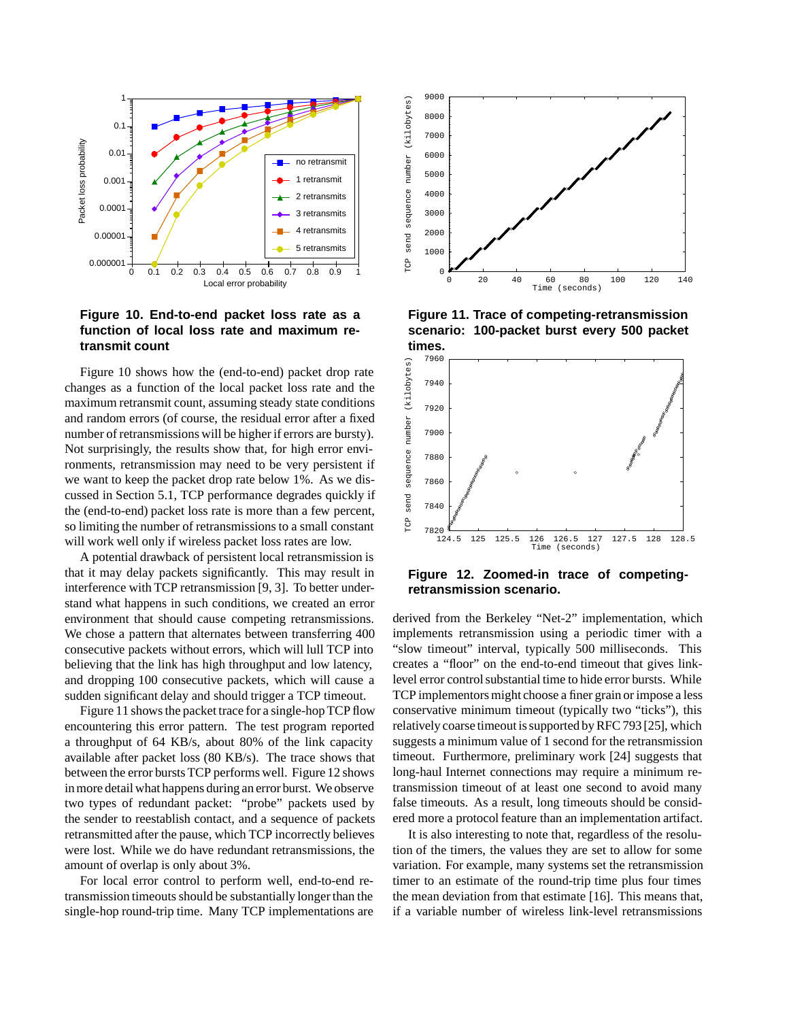

## **Figure 10. End-to-end packet loss rate as a function of local loss rate and maximum retransmit count**

Figure 10 shows how the (end-to-end) packet drop rate changes as a function of the local packet loss rate and the maximum retransmit count, assuming steady state conditions and random errors (of course, the residual error after a fixed number of retransmissions will be higher if errors are bursty). Not surprisingly, the results show that, for high error environments, retransmission may need to be very persistent if we want to keep the packet drop rate below 1%. As we discussed in Section 5.1, TCP performance degrades quickly if the (end-to-end) packet loss rate is more than a few percent, so limiting the number of retransmissions to a small constant will work well only if wireless packet loss rates are low.

A potential drawback of persistent local retransmission is that it may delay packets significantly. This may result in interference with TCP retransmission [9, 3]. To better understand what happens in such conditions, we created an error environment that should cause competing retransmissions. We chose a pattern that alternates between transferring 400 consecutive packets without errors, which will lull TCP into believing that the link has high throughput and low latency, and dropping 100 consecutive packets, which will cause a sudden significant delay and should trigger a TCP timeout.

Figure 11 shows the packet trace for a single-hop TCP flow encountering this error pattern. The test program reported a throughput of 64 KB/s, about 80% of the link capacity available after packet loss (80 KB/s). The trace shows that between the error bursts TCP performs well. Figure 12 shows in more detail what happens during an error burst. We observe two types of redundant packet: "probe" packets used by the sender to reestablish contact, and a sequence of packets retransmitted after the pause, which TCP incorrectly believes were lost. While we do have redundant retransmissions, the amount of overlap is only about 3%.

For local error control to perform well, end-to-end retransmission timeouts should be substantially longer than the single-hop round-trip time. Many TCP implementations are



**Figure 11. Trace of competing-retransmission scenario: 100-packet burst every 500 packet times.**



**Figure 12. Zoomed-in trace of competingretransmission scenario.**

derived from the Berkeley "Net-2" implementation, which implements retransmission using a periodic timer with a "slow timeout" interval, typically 500 milliseconds. This creates a "floor" on the end-to-end timeout that gives linklevel error control substantial time to hide error bursts. While TCP implementors might choose a finer grain or impose a less conservative minimum timeout (typically two "ticks"), this relatively coarse timeout is supported by RFC 793 [25], which suggests a minimum value of 1 second for the retransmission timeout. Furthermore, preliminary work [24] suggests that long-haul Internet connections may require a minimum retransmission timeout of at least one second to avoid many false timeouts. As a result, long timeouts should be considered more a protocol feature than an implementation artifact.

It is also interesting to note that, regardless of the resolution of the timers, the values they are set to allow for some variation. For example, many systems set the retransmission timer to an estimate of the round-trip time plus four times the mean deviation from that estimate [16]. This means that, if a variable number of wireless link-level retransmissions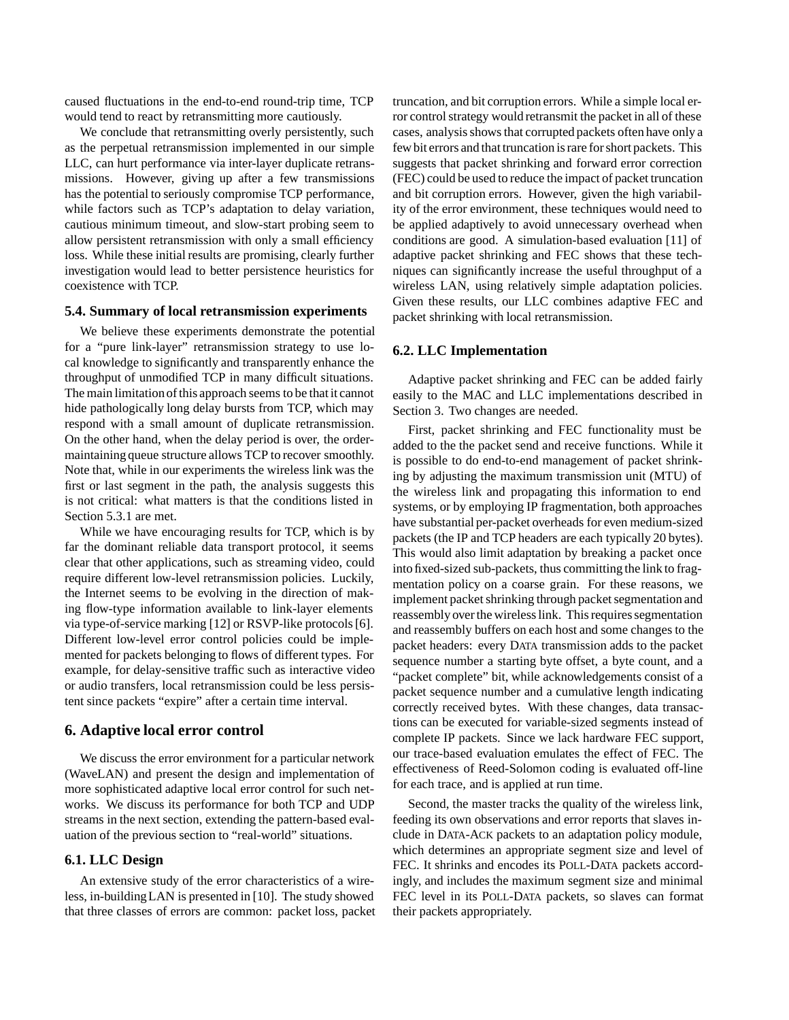caused fluctuations in the end-to-end round-trip time, TCP would tend to react by retransmitting more cautiously.

We conclude that retransmitting overly persistently, such as the perpetual retransmission implemented in our simple LLC, can hurt performance via inter-layer duplicate retransmissions. However, giving up after a few transmissions has the potential to seriously compromise TCP performance, while factors such as TCP's adaptation to delay variation, cautious minimum timeout, and slow-start probing seem to allow persistent retransmission with only a small efficiency loss. While these initial results are promising, clearly further investigation would lead to better persistence heuristics for coexistence with TCP.

### **5.4. Summary of local retransmission experiments**

We believe these experiments demonstrate the potential for a "pure link-layer" retransmission strategy to use local knowledge to significantly and transparently enhance the throughput of unmodified TCP in many difficult situations. The main limitation of this approach seems to be that it cannot hide pathologically long delay bursts from TCP, which may respond with a small amount of duplicate retransmission. On the other hand, when the delay period is over, the ordermaintaining queue structure allows TCP to recover smoothly. Note that, while in our experiments the wireless link was the first or last segment in the path, the analysis suggests this is not critical: what matters is that the conditions listed in Section 5.3.1 are met.

While we have encouraging results for TCP, which is by far the dominant reliable data transport protocol, it seems clear that other applications, such as streaming video, could require different low-level retransmission policies. Luckily, the Internet seems to be evolving in the direction of making flow-type information available to link-layer elements via type-of-service marking [12] or RSVP-like protocols [6]. Different low-level error control policies could be implemented for packets belonging to flows of different types. For example, for delay-sensitive traffic such as interactive video or audio transfers, local retransmission could be less persistent since packets "expire" after a certain time interval.

### **6. Adaptive local error control**

We discuss the error environment for a particular network (WaveLAN) and present the design and implementation of more sophisticated adaptive local error control for such networks. We discuss its performance for both TCP and UDP streams in the next section, extending the pattern-based evaluation of the previous section to "real-world" situations.

## **6.1. LLC Design**

An extensive study of the error characteristics of a wireless, in-buildingLAN is presented in [10]. The study showed that three classes of errors are common: packet loss, packet

truncation, and bit corruption errors. While a simple local error control strategy would retransmit the packet in all of these cases, analysis shows that corrupted packets often have only a few bit errors and that truncation is rare for short packets. This suggests that packet shrinking and forward error correction (FEC) could be used to reduce the impact of packet truncation and bit corruption errors. However, given the high variability of the error environment, these techniques would need to be applied adaptively to avoid unnecessary overhead when conditions are good. A simulation-based evaluation [11] of adaptive packet shrinking and FEC shows that these techniques can significantly increase the useful throughput of a wireless LAN, using relatively simple adaptation policies. Given these results, our LLC combines adaptive FEC and packet shrinking with local retransmission.

#### **6.2. LLC Implementation**

Adaptive packet shrinking and FEC can be added fairly easily to the MAC and LLC implementations described in Section 3. Two changes are needed.

First, packet shrinking and FEC functionality must be added to the the packet send and receive functions. While it is possible to do end-to-end management of packet shrinking by adjusting the maximum transmission unit (MTU) of the wireless link and propagating this information to end systems, or by employing IP fragmentation, both approaches have substantial per-packet overheads for even medium-sized packets (the IP and TCP headers are each typically 20 bytes). This would also limit adaptation by breaking a packet once into fixed-sized sub-packets, thus committing the link to fragmentation policy on a coarse grain. For these reasons, we implement packet shrinking through packet segmentation and reassembly over the wireless link. This requires segmentation and reassembly buffers on each host and some changes to the packet headers: every DATA transmission adds to the packet sequence number a starting byte offset, a byte count, and a "packet complete" bit, while acknowledgements consist of a packet sequence number and a cumulative length indicating correctly received bytes. With these changes, data transactions can be executed for variable-sized segments instead of complete IP packets. Since we lack hardware FEC support, our trace-based evaluation emulates the effect of FEC. The effectiveness of Reed-Solomon coding is evaluated off-line for each trace, and is applied at run time.

Second, the master tracks the quality of the wireless link, feeding its own observations and error reports that slaves include in DATA-ACK packets to an adaptation policy module, which determines an appropriate segment size and level of FEC. It shrinks and encodes its POLL-DATA packets accordingly, and includes the maximum segment size and minimal FEC level in its POLL-DATA packets, so slaves can format their packets appropriately.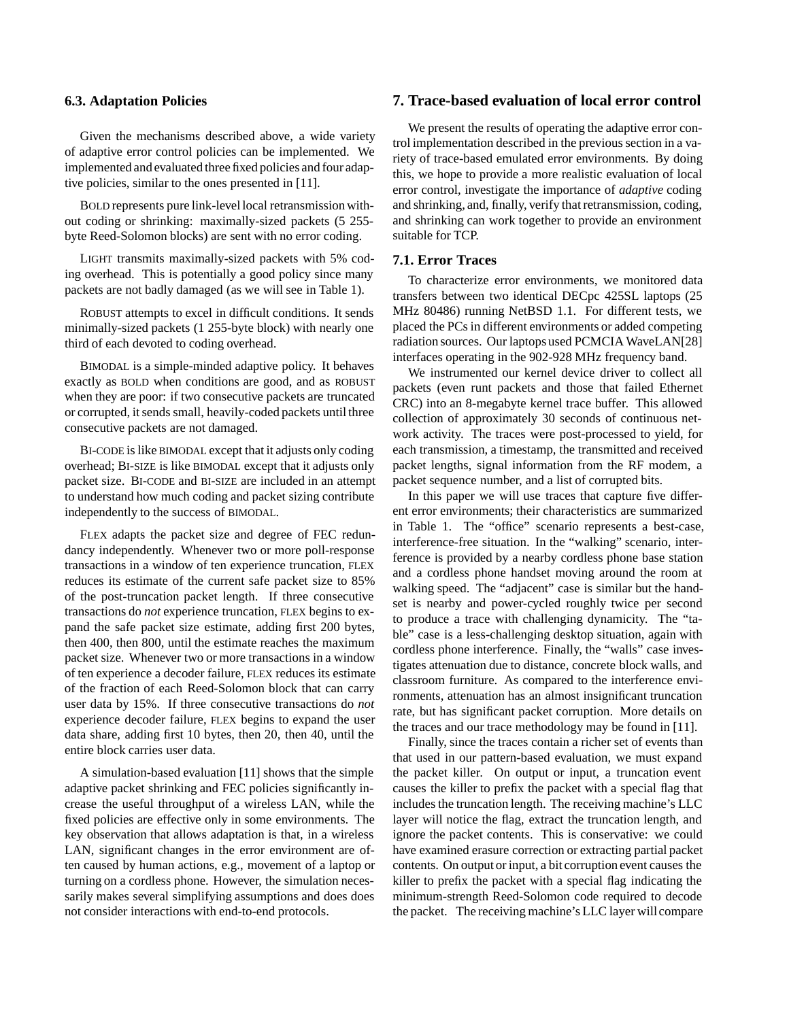### **6.3. Adaptation Policies**

Given the mechanisms described above, a wide variety of adaptive error control policies can be implemented. We implemented and evaluated three fixed policies and four adaptive policies, similar to the ones presented in [11].

BOLD represents pure link-level local retransmission without coding or shrinking: maximally-sized packets (5 255 byte Reed-Solomon blocks) are sent with no error coding.

LIGHT transmits maximally-sized packets with 5% coding overhead. This is potentially a good policy since many packets are not badly damaged (as we will see in Table 1).

ROBUST attempts to excel in difficult conditions. It sends minimally-sized packets (1 255-byte block) with nearly one third of each devoted to coding overhead.

BIMODAL is a simple-minded adaptive policy. It behaves exactly as BOLD when conditions are good, and as ROBUST when they are poor: if two consecutive packets are truncated or corrupted, it sends small, heavily-coded packets until three consecutive packets are not damaged.

BI-CODE is like BIMODAL except that it adjusts only coding overhead; BI-SIZE is like BIMODAL except that it adjusts only packet size. BI-CODE and BI-SIZE are included in an attempt to understand how much coding and packet sizing contribute independently to the success of BIMODAL.

FLEX adapts the packet size and degree of FEC redundancy independently. Whenever two or more poll-response transactions in a window of ten experience truncation, FLEX reduces its estimate of the current safe packet size to 85% of the post-truncation packet length. If three consecutive transactions do *not* experience truncation, FLEX begins to expand the safe packet size estimate, adding first 200 bytes, then 400, then 800, until the estimate reaches the maximum packet size. Whenever two or more transactions in a window of ten experience a decoder failure, FLEX reduces its estimate of the fraction of each Reed-Solomon block that can carry user data by 15%. If three consecutive transactions do *not* experience decoder failure, FLEX begins to expand the user data share, adding first 10 bytes, then 20, then 40, until the entire block carries user data.

A simulation-based evaluation [11] shows that the simple adaptive packet shrinking and FEC policies significantly increase the useful throughput of a wireless LAN, while the fixed policies are effective only in some environments. The key observation that allows adaptation is that, in a wireless LAN, significant changes in the error environment are often caused by human actions, e.g., movement of a laptop or turning on a cordless phone. However, the simulation necessarily makes several simplifying assumptions and does does not consider interactions with end-to-end protocols.

## **7. Trace-based evaluation of local error control**

We present the results of operating the adaptive error control implementation described in the previous section in a variety of trace-based emulated error environments. By doing this, we hope to provide a more realistic evaluation of local error control, investigate the importance of *adaptive* coding and shrinking, and, finally, verify that retransmission, coding, and shrinking can work together to provide an environment suitable for TCP.

## **7.1. Error Traces**

To characterize error environments, we monitored data transfers between two identical DECpc 425SL laptops (25 MHz 80486) running NetBSD 1.1. For different tests, we placed the PCs in different environments or added competing radiation sources. Our laptops used PCMCIA WaveLAN[28] interfaces operating in the 902-928 MHz frequency band.

We instrumented our kernel device driver to collect all packets (even runt packets and those that failed Ethernet CRC) into an 8-megabyte kernel trace buffer. This allowed collection of approximately 30 seconds of continuous network activity. The traces were post-processed to yield, for each transmission, a timestamp, the transmitted and received packet lengths, signal information from the RF modem, a packet sequence number, and a list of corrupted bits.

In this paper we will use traces that capture five different error environments; their characteristics are summarized in Table 1. The "office" scenario represents a best-case, interference-free situation. In the "walking" scenario, interference is provided by a nearby cordless phone base station and a cordless phone handset moving around the room at walking speed. The "adjacent" case is similar but the handset is nearby and power-cycled roughly twice per second to produce a trace with challenging dynamicity. The "table" case is a less-challenging desktop situation, again with cordless phone interference. Finally, the "walls" case investigates attenuation due to distance, concrete block walls, and classroom furniture. As compared to the interference environments, attenuation has an almost insignificant truncation rate, but has significant packet corruption. More details on the traces and our trace methodology may be found in [11].

Finally, since the traces contain a richer set of events than that used in our pattern-based evaluation, we must expand the packet killer. On output or input, a truncation event causes the killer to prefix the packet with a special flag that includes the truncation length. The receiving machine's LLC layer will notice the flag, extract the truncation length, and ignore the packet contents. This is conservative: we could have examined erasure correction or extracting partial packet contents. On output or input, a bit corruption event causes the killer to prefix the packet with a special flag indicating the minimum-strength Reed-Solomon code required to decode the packet. The receiving machine's LLC layer willcompare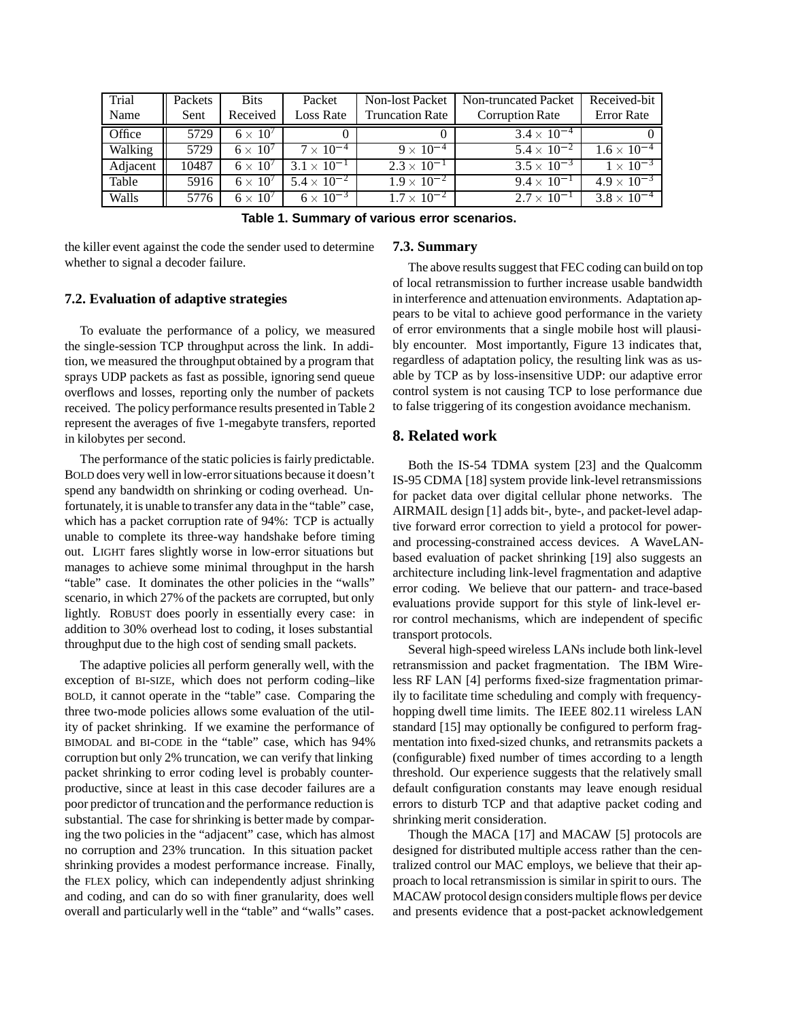| Trial    | Packets | <b>Bits</b>       | Packet               | <b>Non-lost Packet</b> | Non-truncated Packet   | Received-bit         |  |
|----------|---------|-------------------|----------------------|------------------------|------------------------|----------------------|--|
| Name     | Sent    | Received          | <b>Loss Rate</b>     | <b>Truncation Rate</b> | <b>Corruption Rate</b> | <b>Error</b> Rate    |  |
| Office   | 5729    | $6 \times 10^{7}$ |                      |                        | $3.4 \times 10^{-4}$   |                      |  |
| Walking  | 5729    | $6 \times 10^{7}$ | $7 \times 10^{-4}$   | $9 \times 10^{-4}$     | $5.4 \times 10^{-2}$   | $1.6 \times 10^{-4}$ |  |
| Adjacent | 10487   | $6 \times 10^{7}$ | $3.1 \times 10^{-1}$ | $2.3 \times 10^{-1}$   | $3.5 \times 10^{-3}$   | $1 \times 10^{-3}$   |  |
| Table    | 5916    | $6 \times 10^7$   | $5.4 \times 10^{-2}$ | $1.9 \times 10^{-2}$   | $9.4 \times 10^{-1}$   | $4.9 \times 10^{-3}$ |  |
| Walls    | 5776    | $6 \times 10^{7}$ | $6 \times 10^{-3}$   | $1.7 \times 10^{-2}$   | $2.7 \times 10^{-1}$   | $3.8 \times 10^{-4}$ |  |

**Table 1. Summary of various error scenarios.**

the killer event against the code the sender used to determine whether to signal a decoder failure.

### **7.3. Summary**

## **7.2. Evaluation of adaptive strategies**

To evaluate the performance of a policy, we measured the single-session TCP throughput across the link. In addition, we measured the throughput obtained by a program that sprays UDP packets as fast as possible, ignoring send queue overflows and losses, reporting only the number of packets received. The policy performance results presented in Table 2 represent the averages of five 1-megabyte transfers, reported in kilobytes per second.

The performance of the static policies is fairly predictable. BOLD does very well in low-error situations because it doesn't spend any bandwidth on shrinking or coding overhead. Unfortunately, it is unable to transfer any data in the "table" case, which has a packet corruption rate of 94%: TCP is actually unable to complete its three-way handshake before timing out. LIGHT fares slightly worse in low-error situations but manages to achieve some minimal throughput in the harsh "table" case. It dominates the other policies in the "walls" scenario, in which 27% of the packets are corrupted, but only lightly. ROBUST does poorly in essentially every case: in addition to 30% overhead lost to coding, it loses substantial throughput due to the high cost of sending small packets.

The adaptive policies all perform generally well, with the exception of BI-SIZE, which does not perform coding–like BOLD, it cannot operate in the "table" case. Comparing the three two-mode policies allows some evaluation of the utility of packet shrinking. If we examine the performance of BIMODAL and BI-CODE in the "table" case, which has 94% corruption but only 2% truncation, we can verify that linking packet shrinking to error coding level is probably counterproductive, since at least in this case decoder failures are a poor predictor of truncation and the performance reduction is substantial. The case for shrinking is better made by comparing the two policies in the "adjacent" case, which has almost no corruption and 23% truncation. In this situation packet shrinking provides a modest performance increase. Finally, the FLEX policy, which can independently adjust shrinking and coding, and can do so with finer granularity, does well overall and particularly well in the "table" and "walls" cases.

The above results suggest that FEC coding can build on top of local retransmission to further increase usable bandwidth in interference and attenuation environments. Adaptation appears to be vital to achieve good performance in the variety of error environments that a single mobile host will plausibly encounter. Most importantly, Figure 13 indicates that, regardless of adaptation policy, the resulting link was as usable by TCP as by loss-insensitive UDP: our adaptive error control system is not causing TCP to lose performance due to false triggering of its congestion avoidance mechanism.

## **8. Related work**

Both the IS-54 TDMA system [23] and the Qualcomm IS-95 CDMA [18] system provide link-level retransmissions for packet data over digital cellular phone networks. The AIRMAIL design [1] adds bit-, byte-, and packet-level adaptive forward error correction to yield a protocol for powerand processing-constrained access devices. A WaveLANbased evaluation of packet shrinking [19] also suggests an architecture including link-level fragmentation and adaptive error coding. We believe that our pattern- and trace-based evaluations provide support for this style of link-level error control mechanisms, which are independent of specific transport protocols.

Several high-speed wireless LANs include both link-level retransmission and packet fragmentation. The IBM Wireless RF LAN [4] performs fixed-size fragmentation primarily to facilitate time scheduling and comply with frequencyhopping dwell time limits. The IEEE 802.11 wireless LAN standard [15] may optionally be configured to perform fragmentation into fixed-sized chunks, and retransmits packets a (configurable) fixed number of times according to a length threshold. Our experience suggests that the relatively small default configuration constants may leave enough residual errors to disturb TCP and that adaptive packet coding and shrinking merit consideration.

Though the MACA [17] and MACAW [5] protocols are designed for distributed multiple access rather than the centralized control our MAC employs, we believe that their approach to local retransmission is similar in spirit to ours. The MACAW protocol design considers multiple flows per device and presents evidence that a post-packet acknowledgement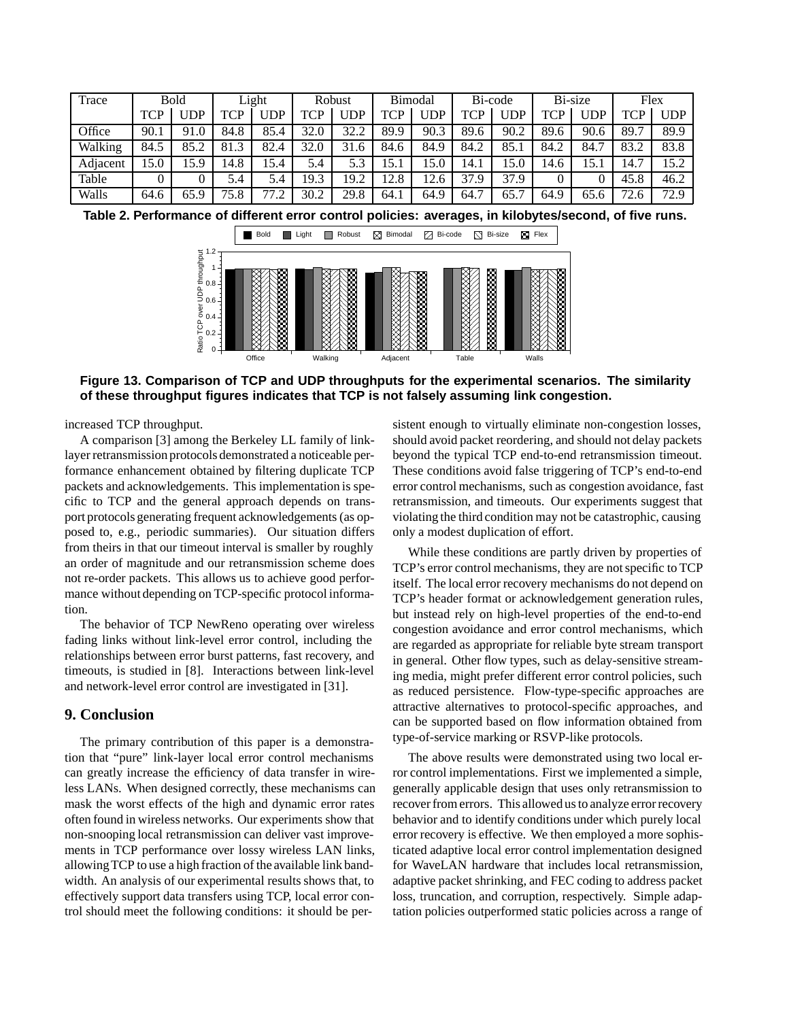| Trace    | Bold |      | Light |      | Robust           |      | Bimodal |      | Bi-code    |            | Bi-size |      | Flex |            |
|----------|------|------|-------|------|------------------|------|---------|------|------------|------------|---------|------|------|------------|
|          | TCP  | JDP  | TCP   | JDP  | TCP              | JDP  | TCP     | JDP  | <b>TCP</b> | <b>UDP</b> | TCP     | JDP  | TCP  | <b>UDP</b> |
| Office   | 90.1 | 91.0 | 84.8  | 85.4 | 32.0             | 32.2 | 89.9    | 90.3 | 89.6       | 90.2       | 89.6    | 90.6 | 89.7 | 89.9       |
| Walking  | 84.5 | 85.2 | 81.3  | 82.4 | 32.0             | 31.6 | 84.6    | 84.9 | 84.2       | 85.1       | 84.2    | 84.7 | 83.2 | 83.8       |
| Adjacent | .5.0 | 15.9 | 14.8  | .5.4 | 5.4              | 5.3  | 15.1    | 15.0 | 14.1       | 15.0       | 14.6    | 15.1 | 14.7 | 15.2       |
| Table    |      |      | 5.4   | 5.4  | 19.3             | 19.2 | 12.8    | 12.6 | 37.9       | 37.9       |         |      | 45.8 | 46.2       |
| Walls    | 64.6 | 65.9 | 75.8  | 77.2 | 30.2<br>$\gamma$ | 29.8 | 64.1    | 64.9 | 7<br>64.7  | 65.7       | 64.9    | 65.6 | 72.6 | 72.9       |

**Table 2. Performance of different error control policies: averages, in kilobytes/second, of five runs.**



**Figure 13. Comparison of TCP and UDP throughputs for the experimental scenarios. The similarity of these throughput figures indicates that TCP is not falsely assuming link congestion.**

increased TCP throughput.

A comparison [3] among the Berkeley LL family of linklayer retransmission protocols demonstrated a noticeable performance enhancement obtained by filtering duplicate TCP packets and acknowledgements. This implementation is specific to TCP and the general approach depends on transport protocols generating frequent acknowledgements (as opposed to, e.g., periodic summaries). Our situation differs from theirs in that our timeout interval is smaller by roughly an order of magnitude and our retransmission scheme does not re-order packets. This allows us to achieve good performance without depending on TCP-specific protocol information.

The behavior of TCP NewReno operating over wireless fading links without link-level error control, including the relationships between error burst patterns, fast recovery, and timeouts, is studied in [8]. Interactions between link-level and network-level error control are investigated in [31].

## **9. Conclusion**

The primary contribution of this paper is a demonstration that "pure" link-layer local error control mechanisms can greatly increase the efficiency of data transfer in wireless LANs. When designed correctly, these mechanisms can mask the worst effects of the high and dynamic error rates often found in wireless networks. Our experiments show that non-snooping local retransmission can deliver vast improvements in TCP performance over lossy wireless LAN links, allowingTCP to use a high fraction of the available link bandwidth. An analysis of our experimental results shows that, to effectively support data transfers using TCP, local error control should meet the following conditions: it should be per-

sistent enough to virtually eliminate non-congestion losses, should avoid packet reordering, and should not delay packets beyond the typical TCP end-to-end retransmission timeout. These conditions avoid false triggering of TCP's end-to-end error control mechanisms, such as congestion avoidance, fast retransmission, and timeouts. Our experiments suggest that violating the third condition may not be catastrophic, causing only a modest duplication of effort.

While these conditions are partly driven by properties of TCP's error control mechanisms, they are not specific to TCP itself. The local error recovery mechanisms do not depend on TCP's header format or acknowledgement generation rules, but instead rely on high-level properties of the end-to-end congestion avoidance and error control mechanisms, which are regarded as appropriate for reliable byte stream transport in general. Other flow types, such as delay-sensitive streaming media, might prefer different error control policies, such as reduced persistence. Flow-type-specific approaches are attractive alternatives to protocol-specific approaches, and can be supported based on flow information obtained from type-of-service marking or RSVP-like protocols.

The above results were demonstrated using two local error control implementations. First we implemented a simple, generally applicable design that uses only retransmission to recover from errors. This allowed us to analyze error recovery behavior and to identify conditions under which purely local error recovery is effective. We then employed a more sophisticated adaptive local error control implementation designed for WaveLAN hardware that includes local retransmission, adaptive packet shrinking, and FEC coding to address packet loss, truncation, and corruption, respectively. Simple adaptation policies outperformed static policies across a range of